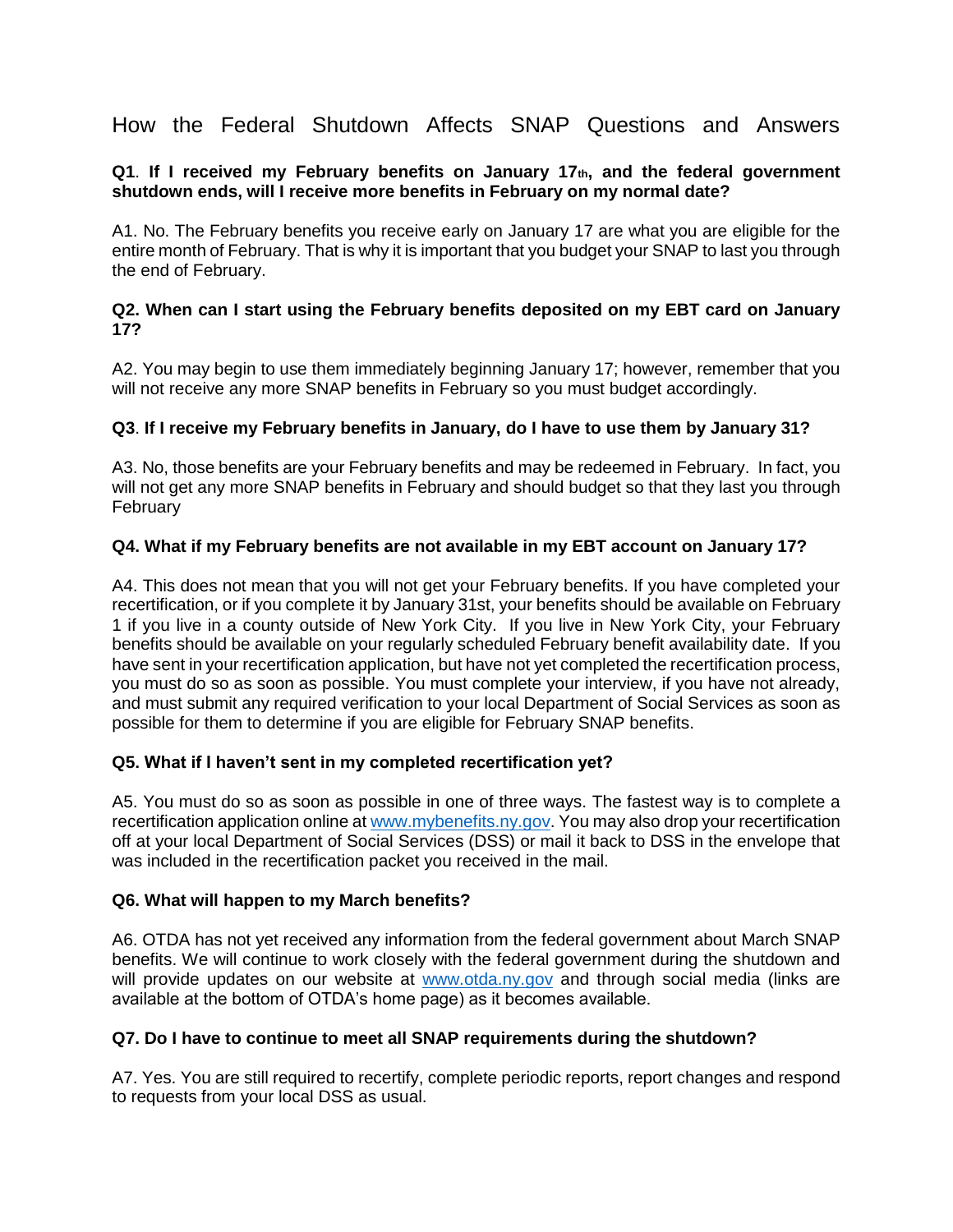How the Federal Shutdown Affects SNAP Questions and Answers

### **Q1**. **If I received my February benefits on January 17th, and the federal government shutdown ends, will I receive more benefits in February on my normal date?**

A1. No. The February benefits you receive early on January 17 are what you are eligible for the entire month of February. That is why it is important that you budget your SNAP to last you through the end of February.

#### **Q2. When can I start using the February benefits deposited on my EBT card on January 17?**

A2. You may begin to use them immediately beginning January 17; however, remember that you will not receive any more SNAP benefits in February so you must budget accordingly.

# **Q3**. **If I receive my February benefits in January, do I have to use them by January 31?**

A3. No, those benefits are your February benefits and may be redeemed in February. In fact, you will not get any more SNAP benefits in February and should budget so that they last you through February

# **Q4. What if my February benefits are not available in my EBT account on January 17?**

A4. This does not mean that you will not get your February benefits. If you have completed your recertification, or if you complete it by January 31st, your benefits should be available on February 1 if you live in a county outside of New York City. If you live in New York City, your February benefits should be available on your regularly scheduled February benefit availability date. If you have sent in your recertification application, but have not yet completed the recertification process, you must do so as soon as possible. You must complete your interview, if you have not already, and must submit any required verification to your local Department of Social Services as soon as possible for them to determine if you are eligible for February SNAP benefits.

### **Q5. What if I haven't sent in my completed recertification yet?**

A5. You must do so as soon as possible in one of three ways. The fastest way is to complete a recertification application online at [www.mybenefits.ny.gov.](http://www.mybenefits.ny.gov/) You may also drop your recertification off at your local Department of Social Services (DSS) or mail it back to DSS in the envelope that was included in the recertification packet you received in the mail.

### **Q6. What will happen to my March benefits?**

A6. OTDA has not yet received any information from the federal government about March SNAP benefits. We will continue to work closely with the federal government during the shutdown and will provide updates on our website at [www.otda.ny.gov](http://www.otda.ny.gov/) and through social media (links are available at the bottom of OTDA's home page) as it becomes available.

### **Q7. Do I have to continue to meet all SNAP requirements during the shutdown?**

A7. Yes. You are still required to recertify, complete periodic reports, report changes and respond to requests from your local DSS as usual.